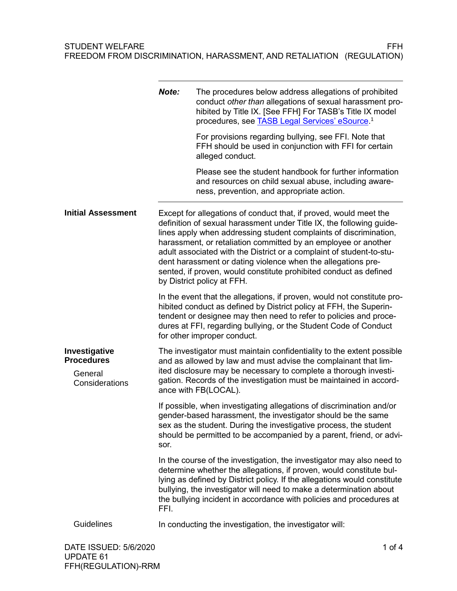|                                                                 | Note:                                                                                                                                                                                                                                                                                                                                                                                                                                                                                                                       | The procedures below address allegations of prohibited<br>conduct other than allegations of sexual harassment pro-<br>hibited by Title IX. [See FFH] For TASB's Title IX model<br>procedures, see <b>TASB Legal Services' eSource</b> . <sup>1</sup>                                                                                                                  |
|-----------------------------------------------------------------|-----------------------------------------------------------------------------------------------------------------------------------------------------------------------------------------------------------------------------------------------------------------------------------------------------------------------------------------------------------------------------------------------------------------------------------------------------------------------------------------------------------------------------|-----------------------------------------------------------------------------------------------------------------------------------------------------------------------------------------------------------------------------------------------------------------------------------------------------------------------------------------------------------------------|
|                                                                 |                                                                                                                                                                                                                                                                                                                                                                                                                                                                                                                             | For provisions regarding bullying, see FFI. Note that<br>FFH should be used in conjunction with FFI for certain<br>alleged conduct.                                                                                                                                                                                                                                   |
|                                                                 |                                                                                                                                                                                                                                                                                                                                                                                                                                                                                                                             | Please see the student handbook for further information<br>and resources on child sexual abuse, including aware-<br>ness, prevention, and appropriate action.                                                                                                                                                                                                         |
| <b>Initial Assessment</b>                                       | Except for allegations of conduct that, if proved, would meet the<br>definition of sexual harassment under Title IX, the following guide-<br>lines apply when addressing student complaints of discrimination,<br>harassment, or retaliation committed by an employee or another<br>adult associated with the District or a complaint of student-to-stu-<br>dent harassment or dating violence when the allegations pre-<br>sented, if proven, would constitute prohibited conduct as defined<br>by District policy at FFH. |                                                                                                                                                                                                                                                                                                                                                                       |
|                                                                 |                                                                                                                                                                                                                                                                                                                                                                                                                                                                                                                             | In the event that the allegations, if proven, would not constitute pro-<br>hibited conduct as defined by District policy at FFH, the Superin-<br>tendent or designee may then need to refer to policies and proce-<br>dures at FFI, regarding bullying, or the Student Code of Conduct<br>for other improper conduct.                                                 |
| Investigative<br><b>Procedures</b><br>General<br>Considerations |                                                                                                                                                                                                                                                                                                                                                                                                                                                                                                                             | The investigator must maintain confidentiality to the extent possible<br>and as allowed by law and must advise the complainant that lim-<br>ited disclosure may be necessary to complete a thorough investi-<br>gation. Records of the investigation must be maintained in accord-<br>ance with FB(LOCAL).                                                            |
|                                                                 | sor.                                                                                                                                                                                                                                                                                                                                                                                                                                                                                                                        | If possible, when investigating allegations of discrimination and/or<br>gender-based harassment, the investigator should be the same<br>sex as the student. During the investigative process, the student<br>should be permitted to be accompanied by a parent, friend, or advi-                                                                                      |
|                                                                 | FFI.                                                                                                                                                                                                                                                                                                                                                                                                                                                                                                                        | In the course of the investigation, the investigator may also need to<br>determine whether the allegations, if proven, would constitute bul-<br>lying as defined by District policy. If the allegations would constitute<br>bullying, the investigator will need to make a determination about<br>the bullying incident in accordance with policies and procedures at |
| Guidelines                                                      |                                                                                                                                                                                                                                                                                                                                                                                                                                                                                                                             | In conducting the investigation, the investigator will:                                                                                                                                                                                                                                                                                                               |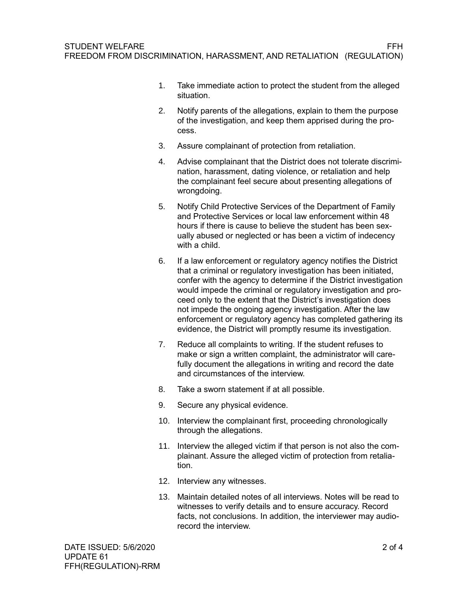- 1. Take immediate action to protect the student from the alleged situation.
- 2. Notify parents of the allegations, explain to them the purpose of the investigation, and keep them apprised during the process.
- 3. Assure complainant of protection from retaliation.
- 4. Advise complainant that the District does not tolerate discrimination, harassment, dating violence, or retaliation and help the complainant feel secure about presenting allegations of wrongdoing.
- 5. Notify Child Protective Services of the Department of Family and Protective Services or local law enforcement within 48 hours if there is cause to believe the student has been sexually abused or neglected or has been a victim of indecency with a child.
- 6. If a law enforcement or regulatory agency notifies the District that a criminal or regulatory investigation has been initiated, confer with the agency to determine if the District investigation would impede the criminal or regulatory investigation and proceed only to the extent that the District's investigation does not impede the ongoing agency investigation. After the law enforcement or regulatory agency has completed gathering its evidence, the District will promptly resume its investigation.
- 7. Reduce all complaints to writing. If the student refuses to make or sign a written complaint, the administrator will carefully document the allegations in writing and record the date and circumstances of the interview.
- 8. Take a sworn statement if at all possible.
- 9. Secure any physical evidence.
- 10. Interview the complainant first, proceeding chronologically through the allegations.
- 11. Interview the alleged victim if that person is not also the complainant. Assure the alleged victim of protection from retaliation.
- 12. Interview any witnesses.
- 13. Maintain detailed notes of all interviews. Notes will be read to witnesses to verify details and to ensure accuracy. Record facts, not conclusions. In addition, the interviewer may audiorecord the interview.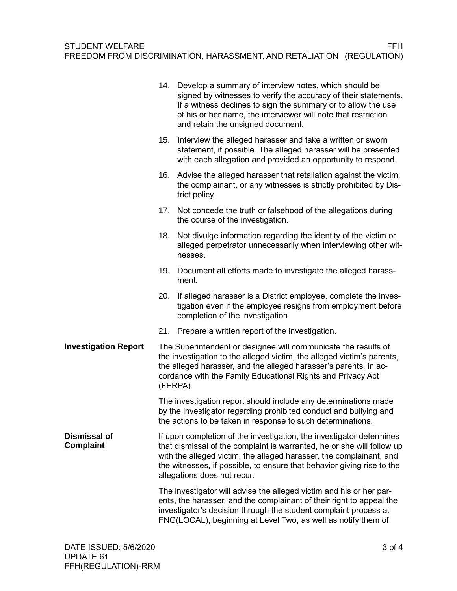|                                  |                                                                                                                                                                                                                                                                                         | 14. Develop a summary of interview notes, which should be<br>signed by witnesses to verify the accuracy of their statements.<br>If a witness declines to sign the summary or to allow the use<br>of his or her name, the interviewer will note that restriction<br>and retain the unsigned document.                           |
|----------------------------------|-----------------------------------------------------------------------------------------------------------------------------------------------------------------------------------------------------------------------------------------------------------------------------------------|--------------------------------------------------------------------------------------------------------------------------------------------------------------------------------------------------------------------------------------------------------------------------------------------------------------------------------|
|                                  | 15.                                                                                                                                                                                                                                                                                     | Interview the alleged harasser and take a written or sworn<br>statement, if possible. The alleged harasser will be presented<br>with each allegation and provided an opportunity to respond.                                                                                                                                   |
|                                  |                                                                                                                                                                                                                                                                                         | 16. Advise the alleged harasser that retaliation against the victim,<br>the complainant, or any witnesses is strictly prohibited by Dis-<br>trict policy.                                                                                                                                                                      |
|                                  | 17.                                                                                                                                                                                                                                                                                     | Not concede the truth or falsehood of the allegations during<br>the course of the investigation.                                                                                                                                                                                                                               |
|                                  | 18.                                                                                                                                                                                                                                                                                     | Not divulge information regarding the identity of the victim or<br>alleged perpetrator unnecessarily when interviewing other wit-<br>nesses.                                                                                                                                                                                   |
|                                  | 19.                                                                                                                                                                                                                                                                                     | Document all efforts made to investigate the alleged harass-<br>ment.                                                                                                                                                                                                                                                          |
|                                  | 20.                                                                                                                                                                                                                                                                                     | If alleged harasser is a District employee, complete the inves-<br>tigation even if the employee resigns from employment before<br>completion of the investigation.                                                                                                                                                            |
|                                  | 21.                                                                                                                                                                                                                                                                                     | Prepare a written report of the investigation.                                                                                                                                                                                                                                                                                 |
| <b>Investigation Report</b>      | The Superintendent or designee will communicate the results of<br>the investigation to the alleged victim, the alleged victim's parents,<br>the alleged harasser, and the alleged harasser's parents, in ac-<br>cordance with the Family Educational Rights and Privacy Act<br>(FERPA). |                                                                                                                                                                                                                                                                                                                                |
|                                  |                                                                                                                                                                                                                                                                                         | The investigation report should include any determinations made<br>by the investigator regarding prohibited conduct and bullying and<br>the actions to be taken in response to such determinations.                                                                                                                            |
| <b>Dismissal of</b><br>Complaint |                                                                                                                                                                                                                                                                                         | If upon completion of the investigation, the investigator determines<br>that dismissal of the complaint is warranted, he or she will follow up<br>with the alleged victim, the alleged harasser, the complainant, and<br>the witnesses, if possible, to ensure that behavior giving rise to the<br>allegations does not recur. |
|                                  |                                                                                                                                                                                                                                                                                         | The investigator will advise the alleged victim and his or her par-<br>ents, the harasser, and the complainant of their right to appeal the<br>investigator's decision through the student complaint process at<br>FNG(LOCAL), beginning at Level Two, as well as notify them of                                               |